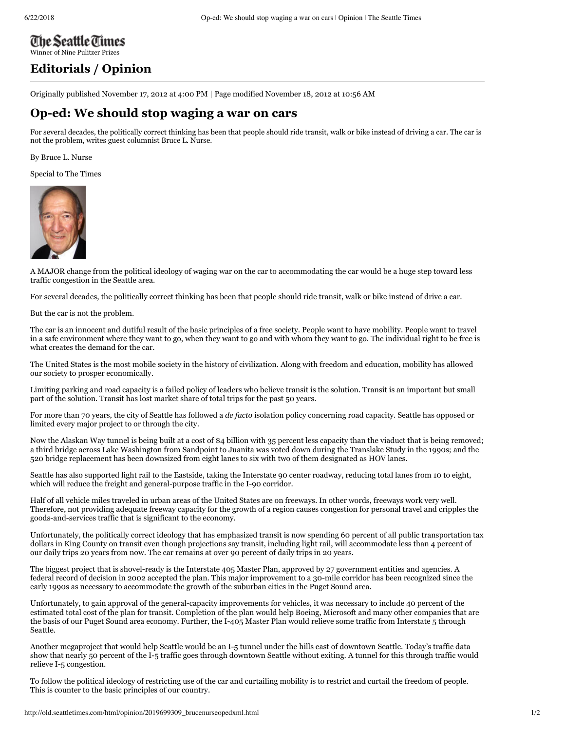## The Seattle Times [Winner of Nine Pulitzer Prizes](http://seattletimes.com/)

## **[Editorials /](http://seattletimes.com/html/editorialsopinion/) Opinion**

Originally published November 17, 2012 at 4:00 PM | Page modified November 18, 2012 at 10:56 AM

## **Oped: We should stop waging a war on cars**

For several decades, the politically correct thinking has been that people should ride transit, walk or bike instead of driving a car. The car is not the problem, writes guest columnist Bruce L. Nurse.

By [Bruce L. Nurse](http://search.nwsource.com/search?searchtype=cq&sort=date&from=ST&byline=Bruce%20L%2E%20Nurse)

Special to The Times



A MAJOR change from the political ideology of waging war on the car to accommodating the car would be a huge step toward less traffic congestion in the Seattle area.

For several decades, the politically correct thinking has been that people should ride transit, walk or bike instead of drive a car.

But the car is not the problem.

The car is an innocent and dutiful result of the basic principles of a free society. People want to have mobility. People want to travel in a safe environment where they want to go, when they want to go and with whom they want to go. The individual right to be free is what creates the demand for the car.

The United States is the most mobile society in the history of civilization. Along with freedom and education, mobility has allowed our society to prosper economically.

Limiting parking and road capacity is a failed policy of leaders who believe transit is the solution. Transit is an important but small part of the solution. Transit has lost market share of total trips for the past 50 years.

For more than 70 years, the city of Seattle has followed a *de facto* isolation policy concerning road capacity. Seattle has opposed or limited every major project to or through the city.

Now the Alaskan Way tunnel is being built at a cost of \$4 billion with 35 percent less capacity than the viaduct that is being removed; a third bridge across Lake Washington from Sandpoint to Juanita was voted down during the Translake Study in the 1990s; and the 520 bridge replacement has been downsized from eight lanes to six with two of them designated as HOV lanes.

Seattle has also supported light rail to the Eastside, taking the Interstate 90 center roadway, reducing total lanes from 10 to eight, which will reduce the freight and general-purpose traffic in the I-90 corridor.

Half of all vehicle miles traveled in urban areas of the United States are on freeways. In other words, freeways work very well. Therefore, not providing adequate freeway capacity for the growth of a region causes congestion for personal travel and cripples the goods-and-services traffic that is significant to the economy.

Unfortunately, the politically correct ideology that has emphasized transit is now spending 60 percent of all public transportation tax dollars in King County on transit even though projections say transit, including light rail, will accommodate less than 4 percent of our daily trips 20 years from now. The car remains at over 90 percent of daily trips in 20 years.

The biggest project that is shovel-ready is the Interstate 405 Master Plan, approved by 27 government entities and agencies. A federal record of decision in 2002 accepted the plan. This major improvement to a 30-mile corridor has been recognized since the early 1990s as necessary to accommodate the growth of the suburban cities in the Puget Sound area.

Unfortunately, to gain approval of the general-capacity improvements for vehicles, it was necessary to include 40 percent of the estimated total cost of the plan for transit. Completion of the plan would help Boeing, Microsoft and many other companies that are the basis of our Puget Sound area economy. Further, the I-405 Master Plan would relieve some traffic from Interstate 5 through Seattle.

Another megaproject that would help Seattle would be an I-5 tunnel under the hills east of downtown Seattle. Today's traffic data show that nearly 50 percent of the I-5 traffic goes through downtown Seattle without exiting. A tunnel for this through traffic would relieve I-5 congestion.

To follow the political ideology of restricting use of the car and curtailing mobility is to restrict and curtail the freedom of people. This is counter to the basic principles of our country.